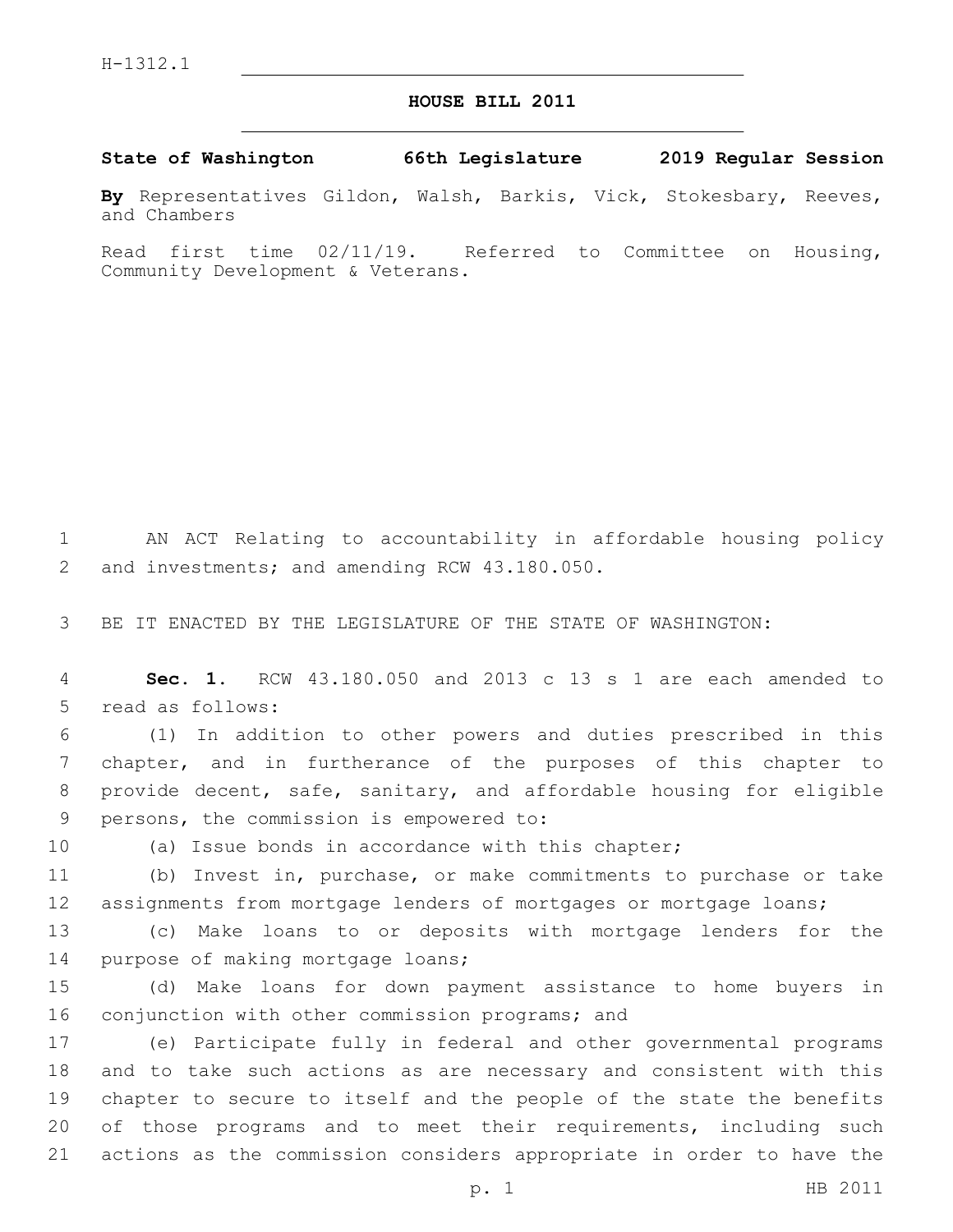## **HOUSE BILL 2011**

**State of Washington 66th Legislature 2019 Regular Session**

**By** Representatives Gildon, Walsh, Barkis, Vick, Stokesbary, Reeves, and Chambers

Read first time 02/11/19. Referred to Committee on Housing, Community Development & Veterans.

1 AN ACT Relating to accountability in affordable housing policy 2 and investments; and amending RCW 43.180.050.

3 BE IT ENACTED BY THE LEGISLATURE OF THE STATE OF WASHINGTON:

4 **Sec. 1.** RCW 43.180.050 and 2013 c 13 s 1 are each amended to 5 read as follows:

 (1) In addition to other powers and duties prescribed in this chapter, and in furtherance of the purposes of this chapter to provide decent, safe, sanitary, and affordable housing for eligible 9 persons, the commission is empowered to:

10 (a) Issue bonds in accordance with this chapter;

11 (b) Invest in, purchase, or make commitments to purchase or take 12 assignments from mortgage lenders of mortgages or mortgage loans;

13 (c) Make loans to or deposits with mortgage lenders for the 14 purpose of making mortgage loans;

15 (d) Make loans for down payment assistance to home buyers in 16 conjunction with other commission programs; and

 (e) Participate fully in federal and other governmental programs and to take such actions as are necessary and consistent with this chapter to secure to itself and the people of the state the benefits 20 of those programs and to meet their requirements, including such actions as the commission considers appropriate in order to have the

p. 1 HB 2011